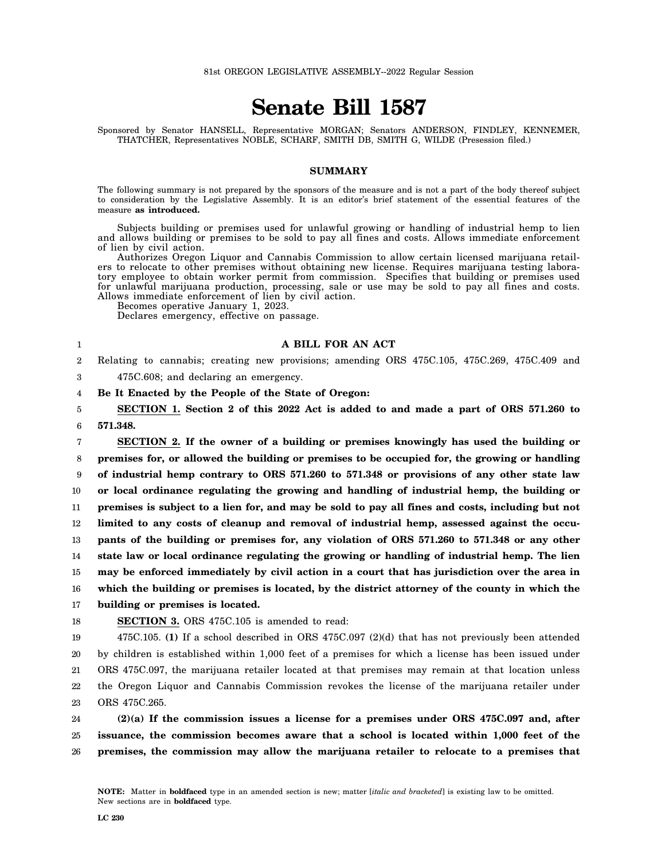# **Senate Bill 1587**

Sponsored by Senator HANSELL, Representative MORGAN; Senators ANDERSON, FINDLEY, KENNEMER, THATCHER, Representatives NOBLE, SCHARF, SMITH DB, SMITH G, WILDE (Presession filed.)

#### **SUMMARY**

The following summary is not prepared by the sponsors of the measure and is not a part of the body thereof subject to consideration by the Legislative Assembly. It is an editor's brief statement of the essential features of the measure **as introduced.**

Subjects building or premises used for unlawful growing or handling of industrial hemp to lien and allows building or premises to be sold to pay all fines and costs. Allows immediate enforcement of lien by civil action.

Authorizes Oregon Liquor and Cannabis Commission to allow certain licensed marijuana retailers to relocate to other premises without obtaining new license. Requires marijuana testing laboratory employee to obtain worker permit from commission. Specifies that building or premises used for unlawful marijuana production, processing, sale or use may be sold to pay all fines and costs. Allows immediate enforcement of lien by civil action.

Becomes operative January 1, 2023.

Declares emergency, effective on passage.

### **A BILL FOR AN ACT**

2 3 Relating to cannabis; creating new provisions; amending ORS 475C.105, 475C.269, 475C.409 and

475C.608; and declaring an emergency.

## **Be It Enacted by the People of the State of Oregon:**

5 6 **SECTION 1. Section 2 of this 2022 Act is added to and made a part of ORS 571.260 to 571.348.**

7 8 9 10 11 12 13 14 15 16 17 **SECTION 2. If the owner of a building or premises knowingly has used the building or premises for, or allowed the building or premises to be occupied for, the growing or handling of industrial hemp contrary to ORS 571.260 to 571.348 or provisions of any other state law or local ordinance regulating the growing and handling of industrial hemp, the building or premises is subject to a lien for, and may be sold to pay all fines and costs, including but not limited to any costs of cleanup and removal of industrial hemp, assessed against the occupants of the building or premises for, any violation of ORS 571.260 to 571.348 or any other state law or local ordinance regulating the growing or handling of industrial hemp. The lien may be enforced immediately by civil action in a court that has jurisdiction over the area in which the building or premises is located, by the district attorney of the county in which the building or premises is located.**

18

1

4

**SECTION 3.** ORS 475C.105 is amended to read:

19 20 21 22 23 475C.105. **(1)** If a school described in ORS 475C.097 (2)(d) that has not previously been attended by children is established within 1,000 feet of a premises for which a license has been issued under ORS 475C.097, the marijuana retailer located at that premises may remain at that location unless the Oregon Liquor and Cannabis Commission revokes the license of the marijuana retailer under ORS 475C.265.

24 25 26 **(2)(a) If the commission issues a license for a premises under ORS 475C.097 and, after issuance, the commission becomes aware that a school is located within 1,000 feet of the premises, the commission may allow the marijuana retailer to relocate to a premises that**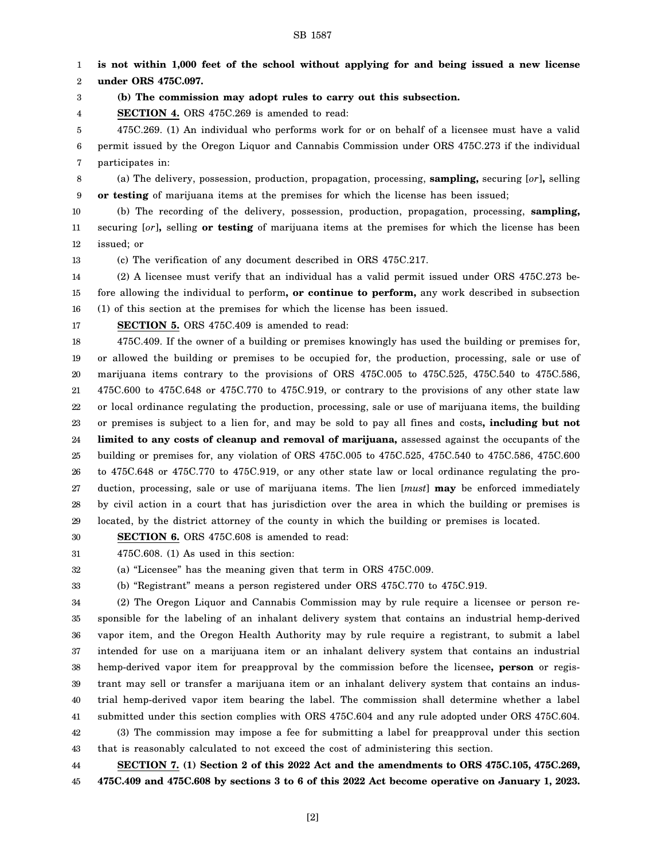**is not within 1,000 feet of the school without applying for and being issued a new license**

SB 1587

[2]

**SECTION 7. (1) Section 2 of this 2022 Act and the amendments to ORS 475C.105, 475C.269, 475C.409 and 475C.608 by sections 3 to 6 of this 2022 Act become operative on January 1, 2023.**

5 6 7 475C.269. (1) An individual who performs work for or on behalf of a licensee must have a valid permit issued by the Oregon Liquor and Cannabis Commission under ORS 475C.273 if the individual participates in:

**(b) The commission may adopt rules to carry out this subsection.**

8 9 (a) The delivery, possession, production, propagation, processing, **sampling,** securing [*or*]**,** selling **or testing** of marijuana items at the premises for which the license has been issued;

10 11 12 (b) The recording of the delivery, possession, production, propagation, processing, **sampling,** securing [*or*]**,** selling **or testing** of marijuana items at the premises for which the license has been issued; or

13 (c) The verification of any document described in ORS 475C.217.

**SECTION 4.** ORS 475C.269 is amended to read:

14 15 16 (2) A licensee must verify that an individual has a valid permit issued under ORS 475C.273 before allowing the individual to perform**, or continue to perform,** any work described in subsection (1) of this section at the premises for which the license has been issued.

17 **SECTION 5.** ORS 475C.409 is amended to read:

18 19 20 21 22 23 24 25 26 27 28 29 475C.409. If the owner of a building or premises knowingly has used the building or premises for, or allowed the building or premises to be occupied for, the production, processing, sale or use of marijuana items contrary to the provisions of ORS 475C.005 to 475C.525, 475C.540 to 475C.586, 475C.600 to 475C.648 or 475C.770 to 475C.919, or contrary to the provisions of any other state law or local ordinance regulating the production, processing, sale or use of marijuana items, the building or premises is subject to a lien for, and may be sold to pay all fines and costs**, including but not limited to any costs of cleanup and removal of marijuana,** assessed against the occupants of the building or premises for, any violation of ORS 475C.005 to 475C.525, 475C.540 to 475C.586, 475C.600 to 475C.648 or 475C.770 to 475C.919, or any other state law or local ordinance regulating the production, processing, sale or use of marijuana items. The lien [*must*] **may** be enforced immediately by civil action in a court that has jurisdiction over the area in which the building or premises is located, by the district attorney of the county in which the building or premises is located.

30 **SECTION 6.** ORS 475C.608 is amended to read:

31 475C.608. (1) As used in this section:

32 (a) "Licensee" has the meaning given that term in ORS 475C.009.

33 (b) "Registrant" means a person registered under ORS 475C.770 to 475C.919.

34 35 36 37 38 39 40 41 42 43 (2) The Oregon Liquor and Cannabis Commission may by rule require a licensee or person responsible for the labeling of an inhalant delivery system that contains an industrial hemp-derived vapor item, and the Oregon Health Authority may by rule require a registrant, to submit a label intended for use on a marijuana item or an inhalant delivery system that contains an industrial hemp-derived vapor item for preapproval by the commission before the licensee**, person** or registrant may sell or transfer a marijuana item or an inhalant delivery system that contains an industrial hemp-derived vapor item bearing the label. The commission shall determine whether a label submitted under this section complies with ORS 475C.604 and any rule adopted under ORS 475C.604. (3) The commission may impose a fee for submitting a label for preapproval under this section that is reasonably calculated to not exceed the cost of administering this section.

44 45

**under ORS 475C.097.**